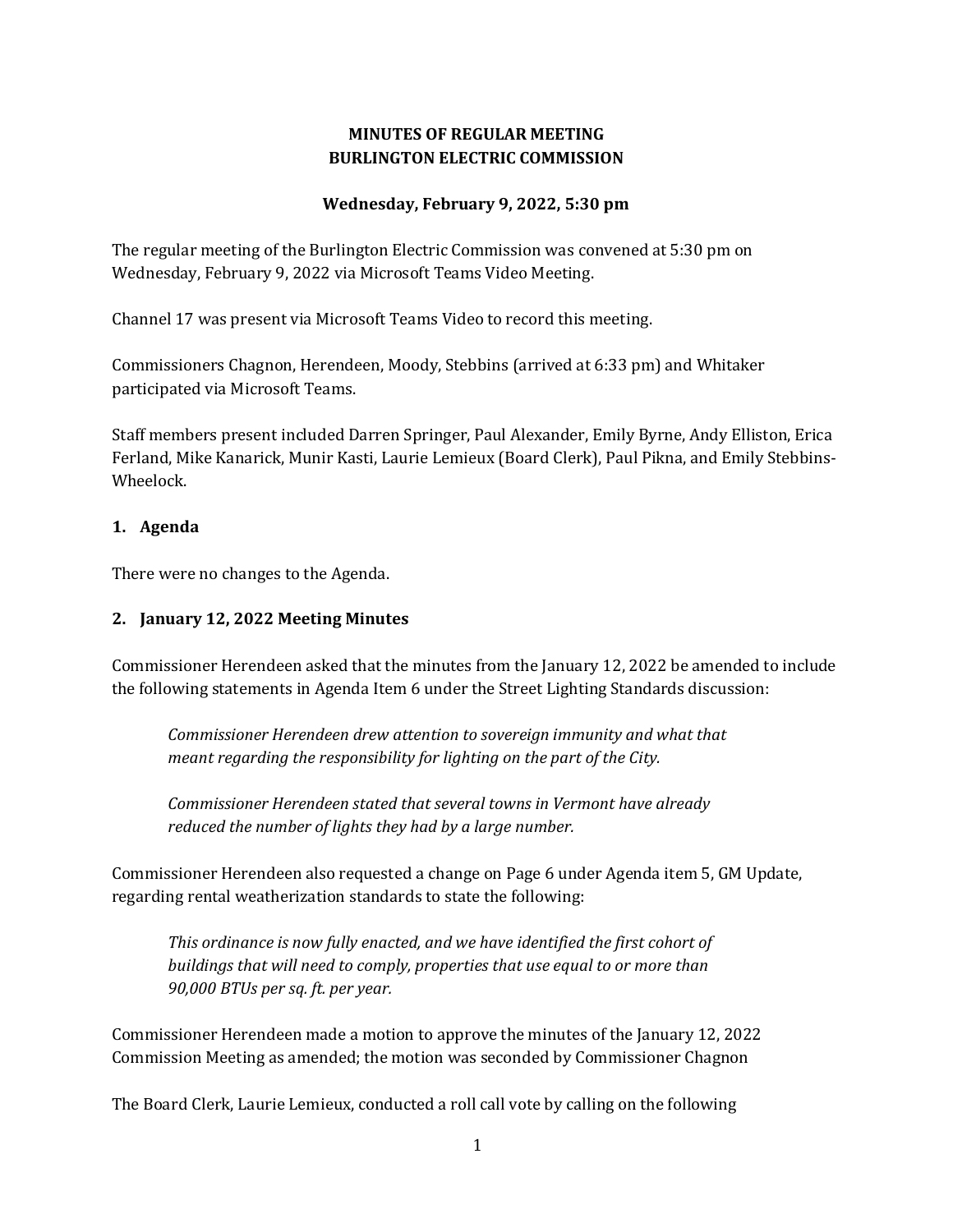# **MINUTES OF REGULAR MEETING BURLINGTON ELECTRIC COMMISSION**

#### **Wednesday, February 9, 2022, 5:30 pm**

The regular meeting of the Burlington Electric Commission was convened at 5:30 pm on Wednesday, February 9, 2022 via Microsoft Teams Video Meeting.

Channel 17 was present via Microsoft Teams Video to record this meeting.

Commissioners Chagnon, Herendeen, Moody, Stebbins (arrived at 6:33 pm) and Whitaker participated via Microsoft Teams.

Staff members present included Darren Springer, Paul Alexander, Emily Byrne, Andy Elliston, Erica Ferland, Mike Kanarick, Munir Kasti, Laurie Lemieux (Board Clerk), Paul Pikna, and Emily Stebbins-Wheelock.

#### **1. Agenda**

There were no changes to the Agenda.

#### **2. January 12, 2022 Meeting Minutes**

Commissioner Herendeen asked that the minutes from the January 12, 2022 be amended to include the following statements in Agenda Item 6 under the Street Lighting Standards discussion:

*Commissioner Herendeen drew attention to sovereign immunity and what that meant regarding the responsibility for lighting on the part of the City.*

*Commissioner Herendeen stated that several towns in Vermont have already reduced the number of lights they had by a large number.* 

Commissioner Herendeen also requested a change on Page 6 under Agenda item 5, GM Update, regarding rental weatherization standards to state the following:

*This ordinance is now fully enacted, and we have identified the first cohort of buildings that will need to comply, properties that use equal to or more than 90,000 BTUs per sq. ft. per year.*

Commissioner Herendeen made a motion to approve the minutes of the January 12, 2022 Commission Meeting as amended; the motion was seconded by Commissioner Chagnon

The Board Clerk, Laurie Lemieux, conducted a roll call vote by calling on the following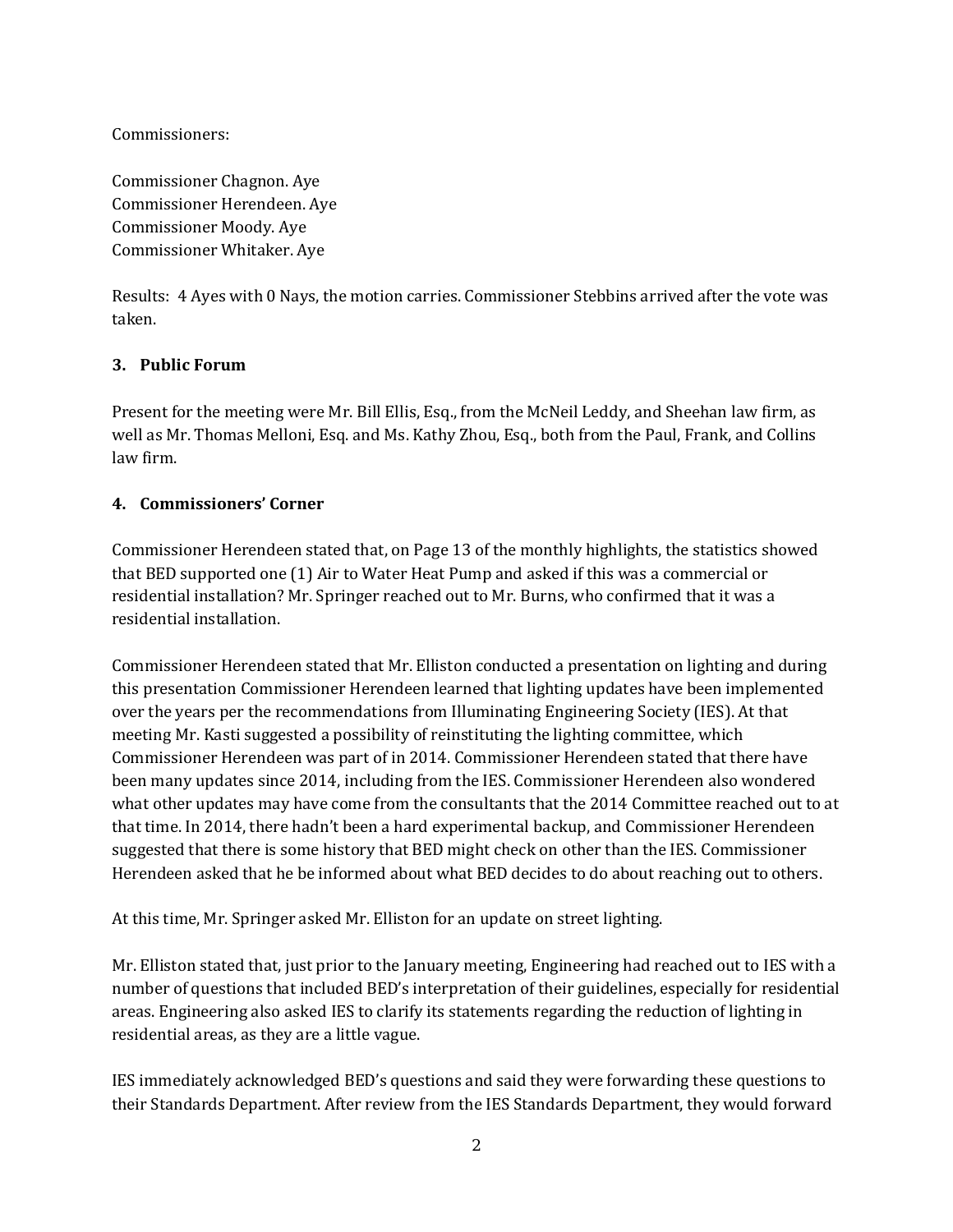Commissioners:

Commissioner Chagnon. Aye Commissioner Herendeen. Aye Commissioner Moody. Aye Commissioner Whitaker. Aye

Results: 4 Ayes with 0 Nays, the motion carries. Commissioner Stebbins arrived after the vote was taken.

#### **3. Public Forum**

Present for the meeting were Mr. Bill Ellis, Esq., from the McNeil Leddy, and Sheehan law firm, as well as Mr. Thomas Melloni, Esq. and Ms. Kathy Zhou, Esq., both from the Paul, Frank, and Collins law firm.

#### **4. Commissioners' Corner**

Commissioner Herendeen stated that, on Page 13 of the monthly highlights, the statistics showed that BED supported one (1) Air to Water Heat Pump and asked if this was a commercial or residential installation? Mr. Springer reached out to Mr. Burns, who confirmed that it was a residential installation.

Commissioner Herendeen stated that Mr. Elliston conducted a presentation on lighting and during this presentation Commissioner Herendeen learned that lighting updates have been implemented over the years per the recommendations from Illuminating Engineering Society (IES). At that meeting Mr. Kasti suggested a possibility of reinstituting the lighting committee, which Commissioner Herendeen was part of in 2014. Commissioner Herendeen stated that there have been many updates since 2014, including from the IES. Commissioner Herendeen also wondered what other updates may have come from the consultants that the 2014 Committee reached out to at that time. In 2014, there hadn't been a hard experimental backup, and Commissioner Herendeen suggested that there is some history that BED might check on other than the IES. Commissioner Herendeen asked that he be informed about what BED decides to do about reaching out to others.

At this time, Mr. Springer asked Mr. Elliston for an update on street lighting.

Mr. Elliston stated that, just prior to the January meeting, Engineering had reached out to IES with a number of questions that included BED's interpretation of their guidelines, especially for residential areas. Engineering also asked IES to clarify its statements regarding the reduction of lighting in residential areas, as they are a little vague.

IES immediately acknowledged BED's questions and said they were forwarding these questions to their Standards Department. After review from the IES Standards Department, they would forward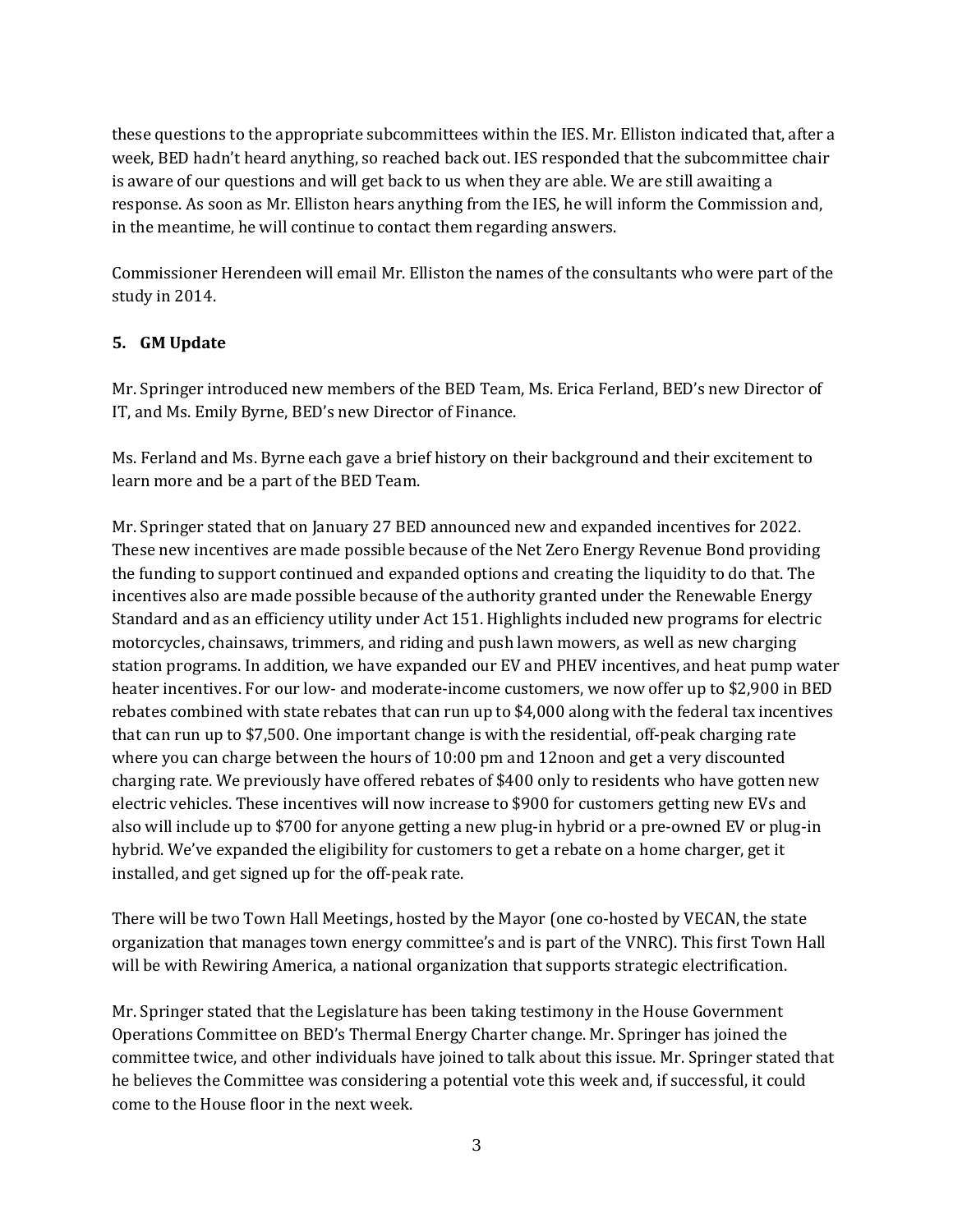these questions to the appropriate subcommittees within the IES. Mr. Elliston indicated that, after a week, BED hadn't heard anything, so reached back out. IES responded that the subcommittee chair is aware of our questions and will get back to us when they are able. We are still awaiting a response. As soon as Mr. Elliston hears anything from the IES, he will inform the Commission and, in the meantime, he will continue to contact them regarding answers.

Commissioner Herendeen will email Mr. Elliston the names of the consultants who were part of the study in 2014.

# **5. GM Update**

Mr. Springer introduced new members of the BED Team, Ms. Erica Ferland, BED's new Director of IT, and Ms. Emily Byrne, BED's new Director of Finance.

Ms. Ferland and Ms. Byrne each gave a brief history on their background and their excitement to learn more and be a part of the BED Team.

Mr. Springer stated that on January 27 BED announced new and expanded incentives for 2022. These new incentives are made possible because of the Net Zero Energy Revenue Bond providing the funding to support continued and expanded options and creating the liquidity to do that. The incentives also are made possible because of the authority granted under the Renewable Energy Standard and as an efficiency utility under Act 151. Highlights included new programs for electric motorcycles, chainsaws, trimmers, and riding and push lawn mowers, as well as new charging station programs. In addition, we have expanded our EV and PHEV incentives, and heat pump water heater incentives. For our low- and moderate-income customers, we now offer up to \$2,900 in BED rebates combined with state rebates that can run up to \$4,000 along with the federal tax incentives that can run up to \$7,500. One important change is with the residential, off-peak charging rate where you can charge between the hours of 10:00 pm and 12noon and get a very discounted charging rate. We previously have offered rebates of \$400 only to residents who have gotten new electric vehicles. These incentives will now increase to \$900 for customers getting new EVs and also will include up to \$700 for anyone getting a new plug-in hybrid or a pre-owned EV or plug-in hybrid. We've expanded the eligibility for customers to get a rebate on a home charger, get it installed, and get signed up for the off-peak rate.

There will be two Town Hall Meetings, hosted by the Mayor (one co-hosted by VECAN, the state organization that manages town energy committee's and is part of the VNRC). This first Town Hall will be with Rewiring America, a national organization that supports strategic electrification.

Mr. Springer stated that the Legislature has been taking testimony in the House Government Operations Committee on BED's Thermal Energy Charter change. Mr. Springer has joined the committee twice, and other individuals have joined to talk about this issue. Mr. Springer stated that he believes the Committee was considering a potential vote this week and, if successful, it could come to the House floor in the next week.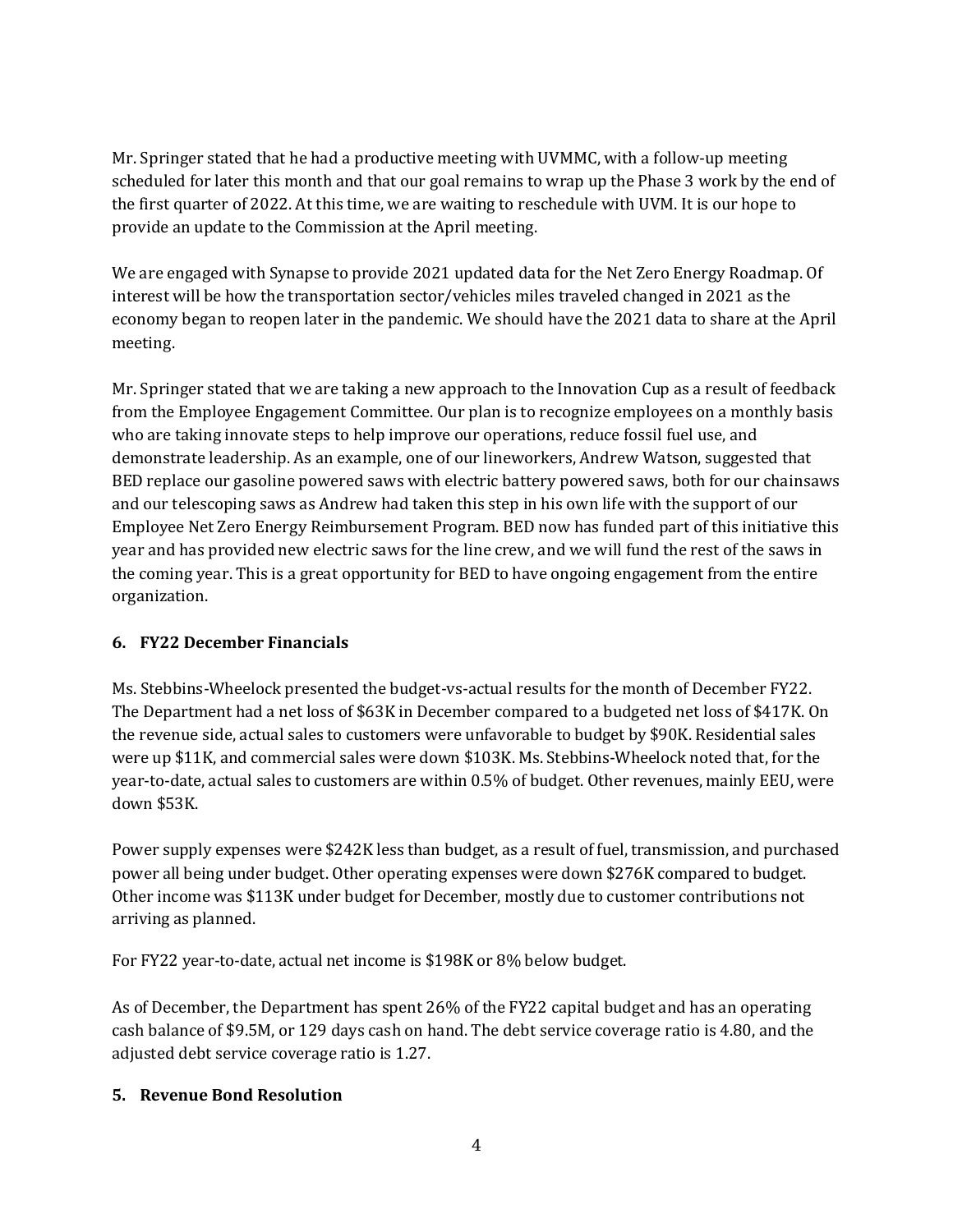Mr. Springer stated that he had a productive meeting with UVMMC, with a follow-up meeting scheduled for later this month and that our goal remains to wrap up the Phase 3 work by the end of the first quarter of 2022. At this time, we are waiting to reschedule with UVM. It is our hope to provide an update to the Commission at the April meeting.

We are engaged with Synapse to provide 2021 updated data for the Net Zero Energy Roadmap. Of interest will be how the transportation sector/vehicles miles traveled changed in 2021 as the economy began to reopen later in the pandemic. We should have the 2021 data to share at the April meeting.

Mr. Springer stated that we are taking a new approach to the Innovation Cup as a result of feedback from the Employee Engagement Committee. Our plan is to recognize employees on a monthly basis who are taking innovate steps to help improve our operations, reduce fossil fuel use, and demonstrate leadership. As an example, one of our lineworkers, Andrew Watson, suggested that BED replace our gasoline powered saws with electric battery powered saws, both for our chainsaws and our telescoping saws as Andrew had taken this step in his own life with the support of our Employee Net Zero Energy Reimbursement Program. BED now has funded part of this initiative this year and has provided new electric saws for the line crew, and we will fund the rest of the saws in the coming year. This is a great opportunity for BED to have ongoing engagement from the entire organization.

# **6. FY22 December Financials**

Ms. Stebbins-Wheelock presented the budget-vs-actual results for the month of December FY22. The Department had a net loss of \$63K in December compared to a budgeted net loss of \$417K. On the revenue side, actual sales to customers were unfavorable to budget by \$90K. Residential sales were up \$11K, and commercial sales were down \$103K. Ms. Stebbins-Wheelock noted that, for the year-to-date, actual sales to customers are within 0.5% of budget. Other revenues, mainly EEU, were down \$53K.

Power supply expenses were \$242K less than budget, as a result of fuel, transmission, and purchased power all being under budget. Other operating expenses were down \$276K compared to budget. Other income was \$113K under budget for December, mostly due to customer contributions not arriving as planned.

For FY22 year-to-date, actual net income is \$198K or 8% below budget.

As of December, the Department has spent 26% of the FY22 capital budget and has an operating cash balance of \$9.5M, or 129 days cash on hand. The debt service coverage ratio is 4.80, and the adjusted debt service coverage ratio is 1.27.

# **5. Revenue Bond Resolution**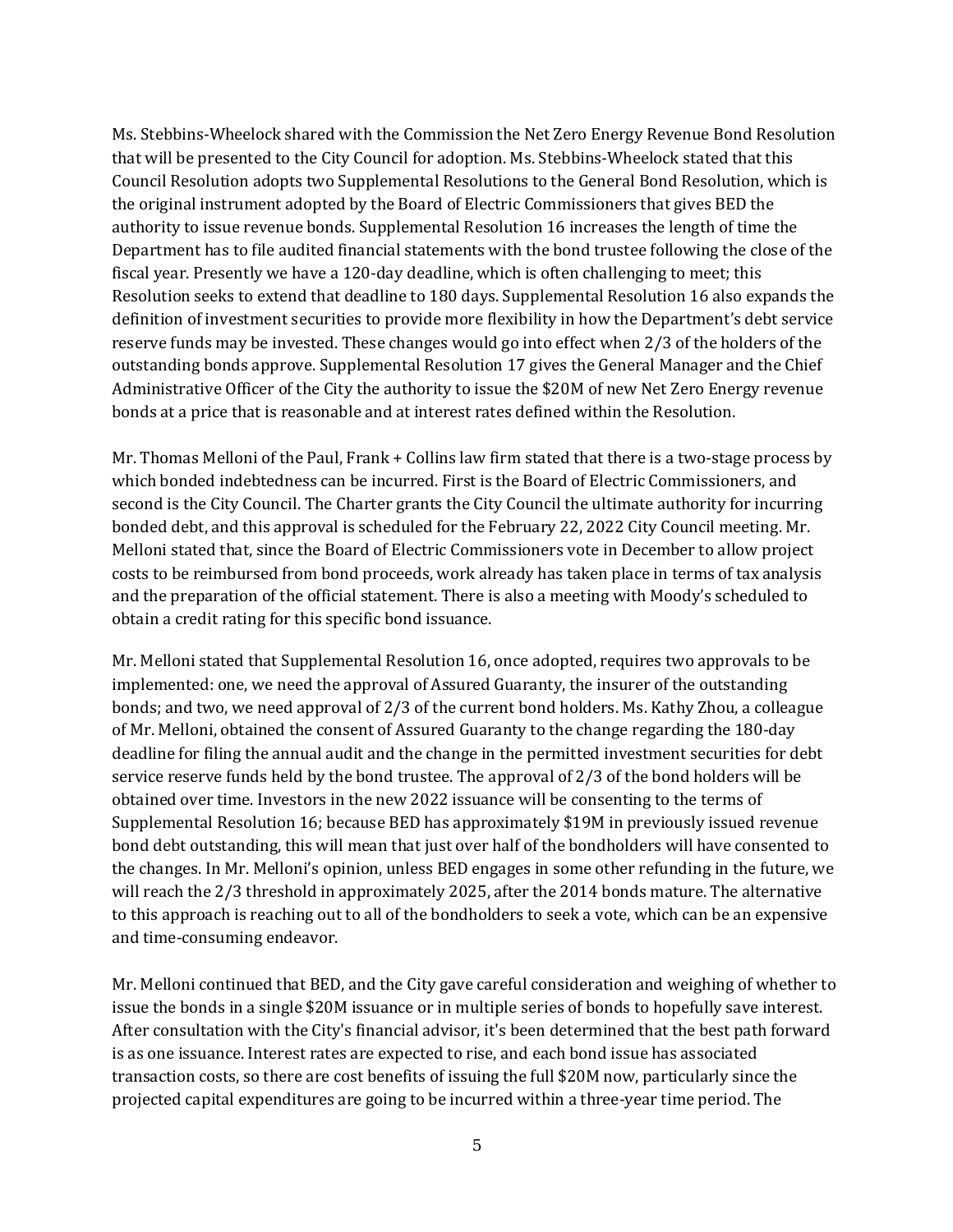Ms. Stebbins-Wheelock shared with the Commission the Net Zero Energy Revenue Bond Resolution that will be presented to the City Council for adoption. Ms. Stebbins-Wheelock stated that this Council Resolution adopts two Supplemental Resolutions to the General Bond Resolution, which is the original instrument adopted by the Board of Electric Commissioners that gives BED the authority to issue revenue bonds. Supplemental Resolution 16 increases the length of time the Department has to file audited financial statements with the bond trustee following the close of the fiscal year. Presently we have a 120-day deadline, which is often challenging to meet; this Resolution seeks to extend that deadline to 180 days. Supplemental Resolution 16 also expands the definition of investment securities to provide more flexibility in how the Department's debt service reserve funds may be invested. These changes would go into effect when 2/3 of the holders of the outstanding bonds approve. Supplemental Resolution 17 gives the General Manager and the Chief Administrative Officer of the City the authority to issue the \$20M of new Net Zero Energy revenue bonds at a price that is reasonable and at interest rates defined within the Resolution.

Mr. Thomas Melloni of the Paul, Frank + Collins law firm stated that there is a two-stage process by which bonded indebtedness can be incurred. First is the Board of Electric Commissioners, and second is the City Council. The Charter grants the City Council the ultimate authority for incurring bonded debt, and this approval is scheduled for the February 22, 2022 City Council meeting. Mr. Melloni stated that, since the Board of Electric Commissioners vote in December to allow project costs to be reimbursed from bond proceeds, work already has taken place in terms of tax analysis and the preparation of the official statement. There is also a meeting with Moody's scheduled to obtain a credit rating for this specific bond issuance.

Mr. Melloni stated that Supplemental Resolution 16, once adopted, requires two approvals to be implemented: one, we need the approval of Assured Guaranty, the insurer of the outstanding bonds; and two, we need approval of 2/3 of the current bond holders. Ms. Kathy Zhou, a colleague of Mr. Melloni, obtained the consent of Assured Guaranty to the change regarding the 180-day deadline for filing the annual audit and the change in the permitted investment securities for debt service reserve funds held by the bond trustee. The approval of 2/3 of the bond holders will be obtained over time. Investors in the new 2022 issuance will be consenting to the terms of Supplemental Resolution 16; because BED has approximately \$19M in previously issued revenue bond debt outstanding, this will mean that just over half of the bondholders will have consented to the changes. In Mr. Melloni's opinion, unless BED engages in some other refunding in the future, we will reach the 2/3 threshold in approximately 2025, after the 2014 bonds mature. The alternative to this approach is reaching out to all of the bondholders to seek a vote, which can be an expensive and time-consuming endeavor.

Mr. Melloni continued that BED, and the City gave careful consideration and weighing of whether to issue the bonds in a single \$20M issuance or in multiple series of bonds to hopefully save interest. After consultation with the City's financial advisor, it's been determined that the best path forward is as one issuance. Interest rates are expected to rise, and each bond issue has associated transaction costs, so there are cost benefits of issuing the full \$20M now, particularly since the projected capital expenditures are going to be incurred within a three-year time period. The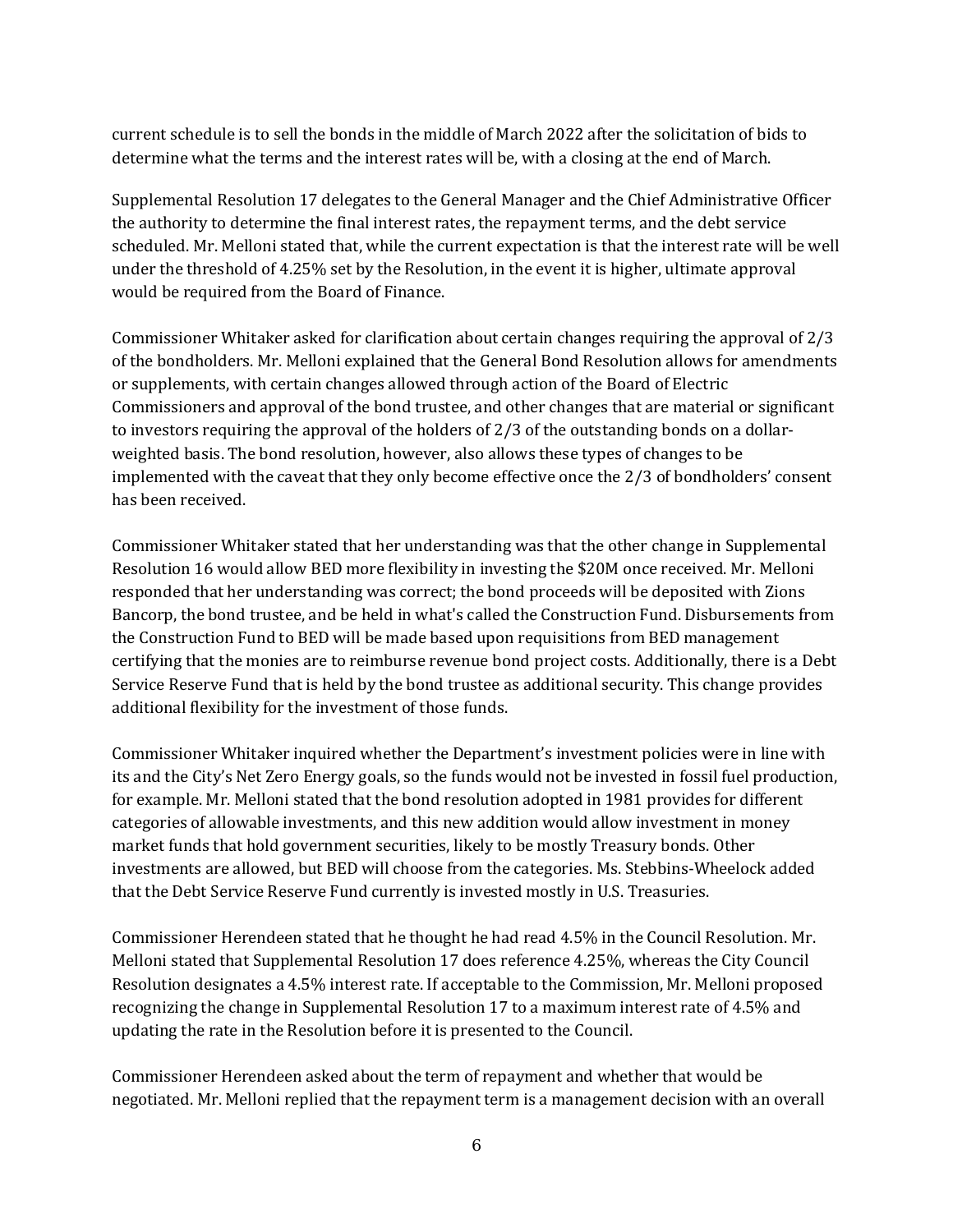current schedule is to sell the bonds in the middle of March 2022 after the solicitation of bids to determine what the terms and the interest rates will be, with a closing at the end of March.

Supplemental Resolution 17 delegates to the General Manager and the Chief Administrative Officer the authority to determine the final interest rates, the repayment terms, and the debt service scheduled. Mr. Melloni stated that, while the current expectation is that the interest rate will be well under the threshold of 4.25% set by the Resolution, in the event it is higher, ultimate approval would be required from the Board of Finance.

Commissioner Whitaker asked for clarification about certain changes requiring the approval of 2/3 of the bondholders. Mr. Melloni explained that the General Bond Resolution allows for amendments or supplements, with certain changes allowed through action of the Board of Electric Commissioners and approval of the bond trustee, and other changes that are material or significant to investors requiring the approval of the holders of 2/3 of the outstanding bonds on a dollarweighted basis. The bond resolution, however, also allows these types of changes to be implemented with the caveat that they only become effective once the 2/3 of bondholders' consent has been received.

Commissioner Whitaker stated that her understanding was that the other change in Supplemental Resolution 16 would allow BED more flexibility in investing the \$20M once received. Mr. Melloni responded that her understanding was correct; the bond proceeds will be deposited with Zions Bancorp, the bond trustee, and be held in what's called the Construction Fund. Disbursements from the Construction Fund to BED will be made based upon requisitions from BED management certifying that the monies are to reimburse revenue bond project costs. Additionally, there is a Debt Service Reserve Fund that is held by the bond trustee as additional security. This change provides additional flexibility for the investment of those funds.

Commissioner Whitaker inquired whether the Department's investment policies were in line with its and the City's Net Zero Energy goals, so the funds would not be invested in fossil fuel production, for example. Mr. Melloni stated that the bond resolution adopted in 1981 provides for different categories of allowable investments, and this new addition would allow investment in money market funds that hold government securities, likely to be mostly Treasury bonds. Other investments are allowed, but BED will choose from the categories. Ms. Stebbins-Wheelock added that the Debt Service Reserve Fund currently is invested mostly in U.S. Treasuries.

Commissioner Herendeen stated that he thought he had read 4.5% in the Council Resolution. Mr. Melloni stated that Supplemental Resolution 17 does reference 4.25%, whereas the City Council Resolution designates a 4.5% interest rate. If acceptable to the Commission, Mr. Melloni proposed recognizing the change in Supplemental Resolution 17 to a maximum interest rate of 4.5% and updating the rate in the Resolution before it is presented to the Council.

Commissioner Herendeen asked about the term of repayment and whether that would be negotiated. Mr. Melloni replied that the repayment term is a management decision with an overall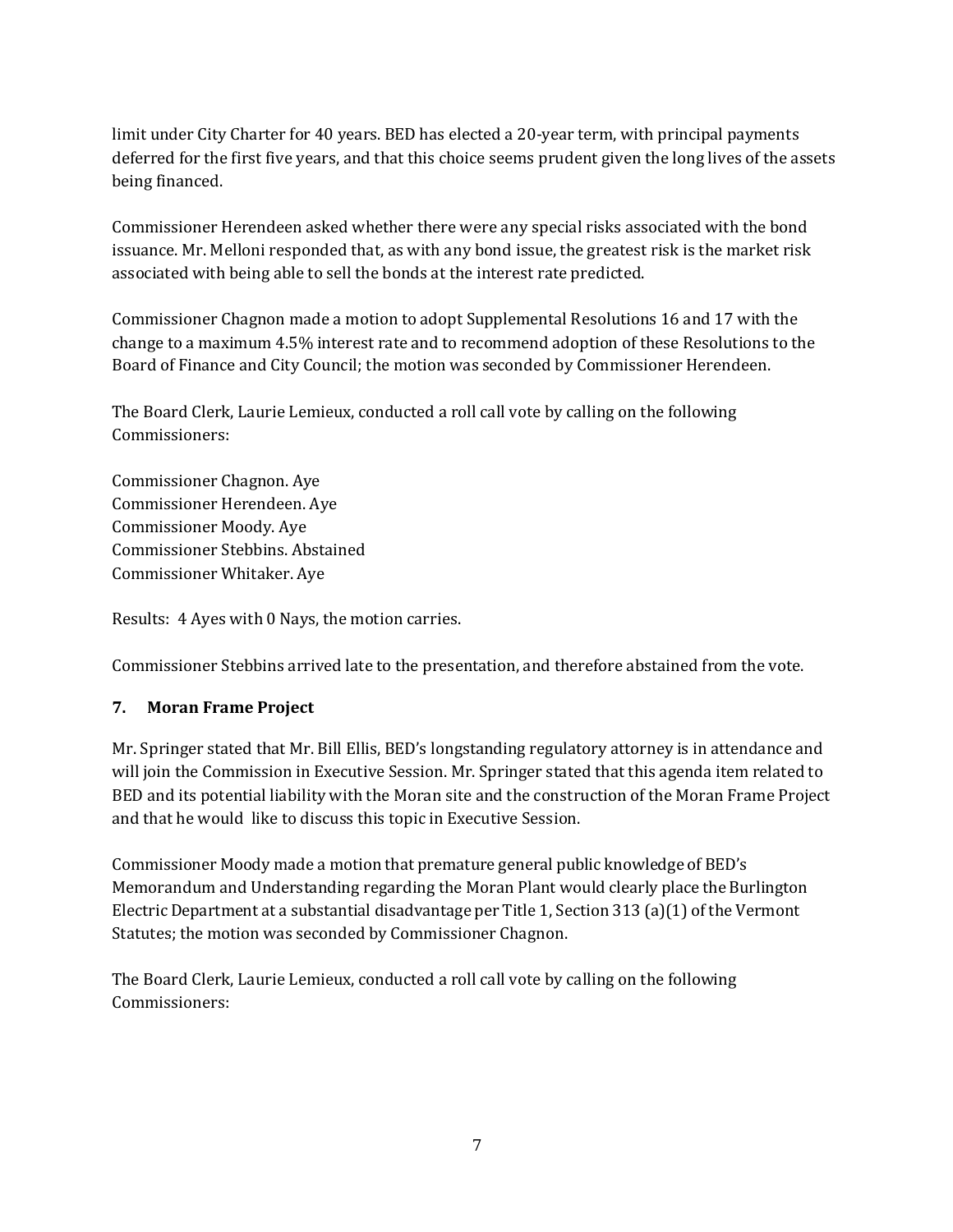limit under City Charter for 40 years. BED has elected a 20-year term, with principal payments deferred for the first five years, and that this choice seems prudent given the long lives of the assets being financed.

Commissioner Herendeen asked whether there were any special risks associated with the bond issuance. Mr. Melloni responded that, as with any bond issue, the greatest risk is the market risk associated with being able to sell the bonds at the interest rate predicted.

Commissioner Chagnon made a motion to adopt Supplemental Resolutions 16 and 17 with the change to a maximum 4.5% interest rate and to recommend adoption of these Resolutions to the Board of Finance and City Council; the motion was seconded by Commissioner Herendeen.

The Board Clerk, Laurie Lemieux, conducted a roll call vote by calling on the following Commissioners:

Commissioner Chagnon. Aye Commissioner Herendeen. Aye Commissioner Moody. Aye Commissioner Stebbins. Abstained Commissioner Whitaker. Aye

Results: 4 Ayes with 0 Nays, the motion carries.

Commissioner Stebbins arrived late to the presentation, and therefore abstained from the vote.

# **7. Moran Frame Project**

Mr. Springer stated that Mr. Bill Ellis, BED's longstanding regulatory attorney is in attendance and will join the Commission in Executive Session. Mr. Springer stated that this agenda item related to BED and its potential liability with the Moran site and the construction of the Moran Frame Project and that he would like to discuss this topic in Executive Session.

Commissioner Moody made a motion that premature general public knowledge of BED's Memorandum and Understanding regarding the Moran Plant would clearly place the Burlington Electric Department at a substantial disadvantage per Title 1, Section 313 (a)(1) of the Vermont Statutes; the motion was seconded by Commissioner Chagnon.

The Board Clerk, Laurie Lemieux, conducted a roll call vote by calling on the following Commissioners: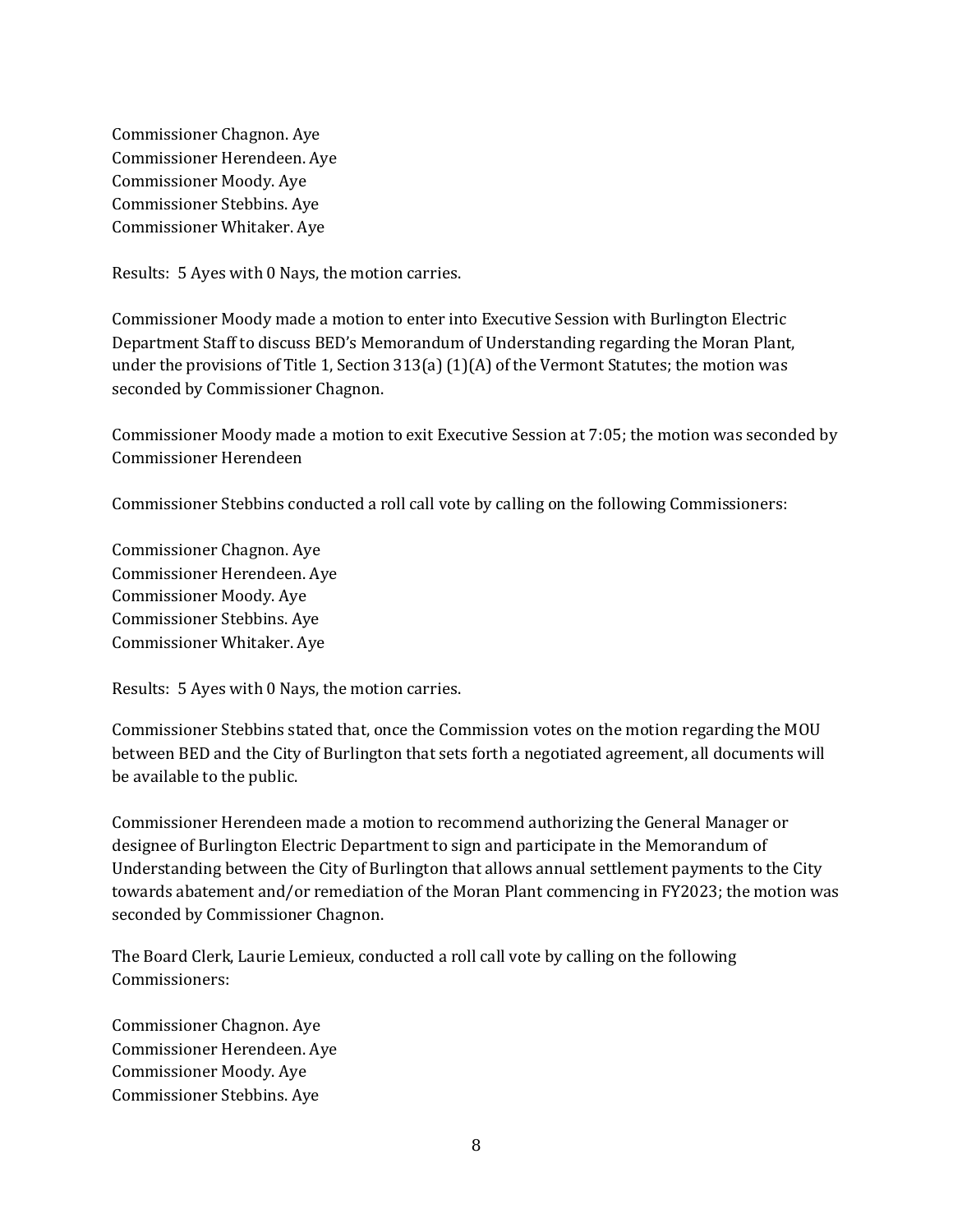Commissioner Chagnon. Aye Commissioner Herendeen. Aye Commissioner Moody. Aye Commissioner Stebbins. Aye Commissioner Whitaker. Aye

Results: 5 Ayes with 0 Nays, the motion carries.

Commissioner Moody made a motion to enter into Executive Session with Burlington Electric Department Staff to discuss BED's Memorandum of Understanding regarding the Moran Plant, under the provisions of Title 1, Section 313(a) (1)(A) of the Vermont Statutes; the motion was seconded by Commissioner Chagnon.

Commissioner Moody made a motion to exit Executive Session at 7:05; the motion was seconded by Commissioner Herendeen

Commissioner Stebbins conducted a roll call vote by calling on the following Commissioners:

Commissioner Chagnon. Aye Commissioner Herendeen. Aye Commissioner Moody. Aye Commissioner Stebbins. Aye Commissioner Whitaker. Aye

Results: 5 Ayes with 0 Nays, the motion carries.

Commissioner Stebbins stated that, once the Commission votes on the motion regarding the MOU between BED and the City of Burlington that sets forth a negotiated agreement, all documents will be available to the public.

Commissioner Herendeen made a motion to recommend authorizing the General Manager or designee of Burlington Electric Department to sign and participate in the Memorandum of Understanding between the City of Burlington that allows annual settlement payments to the City towards abatement and/or remediation of the Moran Plant commencing in FY2023; the motion was seconded by Commissioner Chagnon.

The Board Clerk, Laurie Lemieux, conducted a roll call vote by calling on the following Commissioners:

Commissioner Chagnon. Aye Commissioner Herendeen. Aye Commissioner Moody. Aye Commissioner Stebbins. Aye